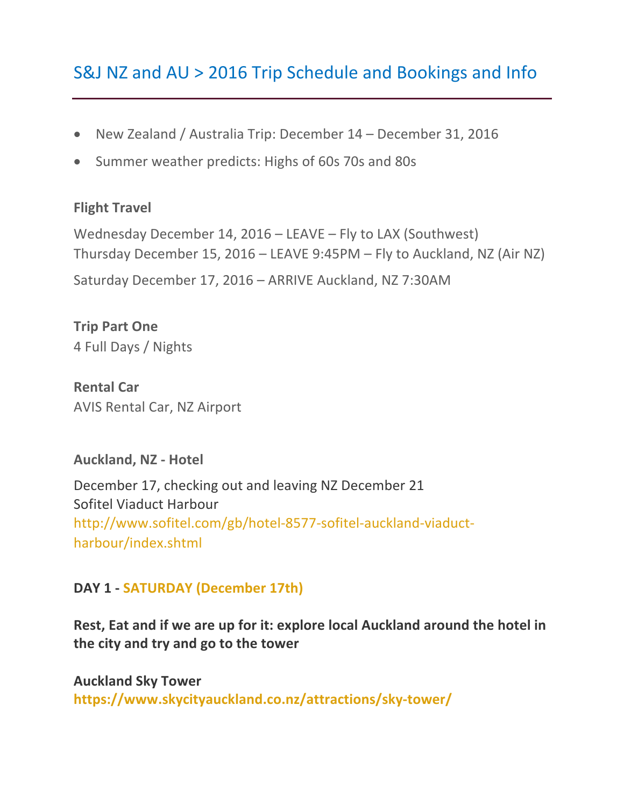# S&J NZ and AU > 2016 Trip Schedule and Bookings and Info

- New Zealand / Australia Trip: December 14 December 31, 2016
- Summer weather predicts: Highs of 60s 70s and 80s

#### **Flight Travel**

Wednesday December 14,  $2016 -$  LEAVE – Fly to LAX (Southwest) Thursday December 15, 2016 – LEAVE 9:45PM – Fly to Auckland, NZ (Air NZ) Saturday December 17, 2016 - ARRIVE Auckland, NZ 7:30AM

**Trip Part One** 4 Full Days / Nights

**Rental Car** AVIS Rental Car, NZ Airport

#### **Auckland, NZ - Hotel**

December 17, checking out and leaving NZ December 21 Sofitel Viaduct Harbour http://www.sofitel.com/gb/hotel-8577-sofitel-auckland-viaductharbour/index.shtml

#### **DAY 1 - SATURDAY (December 17th)**

Rest, Eat and if we are up for it: explore local Auckland around the hotel in the city and try and go to the tower

**Auckland Sky Tower https://www.skycityauckland.co.nz/attractions/sky-tower/**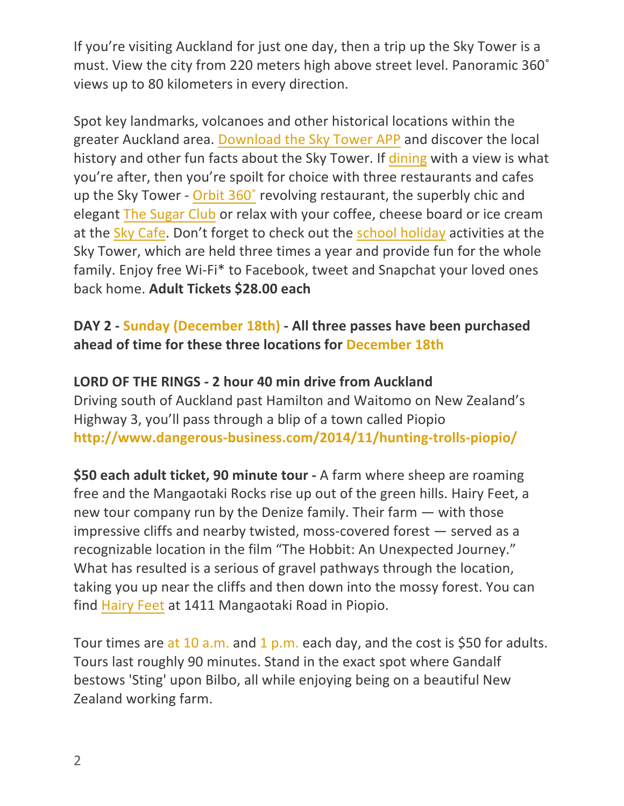If you're visiting Auckland for just one day, then a trip up the Sky Tower is a must. View the city from 220 meters high above street level. Panoramic 360° views up to 80 kilometers in every direction.

Spot key landmarks, volcanoes and other historical locations within the greater Auckland area. Download the Sky Tower APP and discover the local history and other fun facts about the Sky Tower. If dining with a view is what you're after, then you're spoilt for choice with three restaurants and cafes up the Sky Tower - Orbit 360° revolving restaurant, the superbly chic and elegant The Sugar Club or relax with your coffee, cheese board or ice cream at the Sky Cafe. Don't forget to check out the school holiday activities at the Sky Tower, which are held three times a year and provide fun for the whole family. Enjoy free Wi-Fi\* to Facebook, tweet and Snapchat your loved ones back home. **Adult Tickets \$28.00 each**

### **DAY 2 - Sunday (December 18th) - All three passes have been purchased** ahead of time for these three locations for December 18th

### **LORD OF THE RINGS - 2 hour 40 min drive from Auckland**

Driving south of Auckland past Hamilton and Waitomo on New Zealand's Highway 3, you'll pass through a blip of a town called Piopio **http://www.dangerous-business.com/2014/11/hunting-trolls-piopio/**

**\$50 each adult ticket, 90 minute tour** - A farm where sheep are roaming free and the Mangaotaki Rocks rise up out of the green hills. Hairy Feet, a new tour company run by the Denize family. Their farm  $-$  with those impressive cliffs and nearby twisted, moss-covered forest  $-$  served as a recognizable location in the film "The Hobbit: An Unexpected Journey." What has resulted is a serious of gravel pathways through the location, taking you up near the cliffs and then down into the mossy forest. You can find Hairy Feet at 1411 Mangaotaki Road in Piopio.

Tour times are at 10 a.m. and 1 p.m. each day, and the cost is \$50 for adults. Tours last roughly 90 minutes. Stand in the exact spot where Gandalf bestows 'Sting' upon Bilbo, all while enjoying being on a beautiful New Zealand working farm.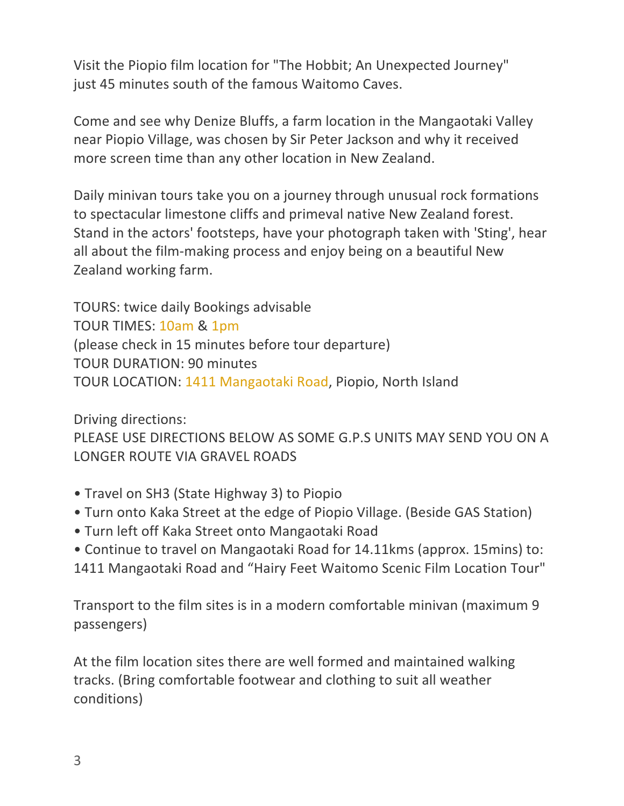Visit the Piopio film location for "The Hobbit; An Unexpected Journey" just 45 minutes south of the famous Waitomo Caves.

Come and see why Denize Bluffs, a farm location in the Mangaotaki Valley near Piopio Village, was chosen by Sir Peter Jackson and why it received more screen time than any other location in New Zealand.

Daily minivan tours take you on a journey through unusual rock formations to spectacular limestone cliffs and primeval native New Zealand forest. Stand in the actors' footsteps, have your photograph taken with 'Sting', hear all about the film-making process and enjoy being on a beautiful New Zealand working farm.

TOURS: twice daily Bookings advisable TOUR TIMES: 10am & 1pm (please check in 15 minutes before tour departure) TOUR DURATION: 90 minutes TOUR LOCATION: 1411 Mangaotaki Road, Piopio, North Island

Driving directions:

PLEASE USE DIRECTIONS BELOW AS SOME G.P.S UNITS MAY SEND YOU ON A LONGER ROUTE VIA GRAVEL ROADS

- Travel on SH3 (State Highway 3) to Piopio
- Turn onto Kaka Street at the edge of Piopio Village. (Beside GAS Station)
- Turn left off Kaka Street onto Mangaotaki Road
- Continue to travel on Mangaotaki Road for 14.11kms (approx. 15mins) to:
- 1411 Mangaotaki Road and "Hairy Feet Waitomo Scenic Film Location Tour"

Transport to the film sites is in a modern comfortable minivan (maximum 9) passengers)

At the film location sites there are well formed and maintained walking tracks. (Bring comfortable footwear and clothing to suit all weather conditions)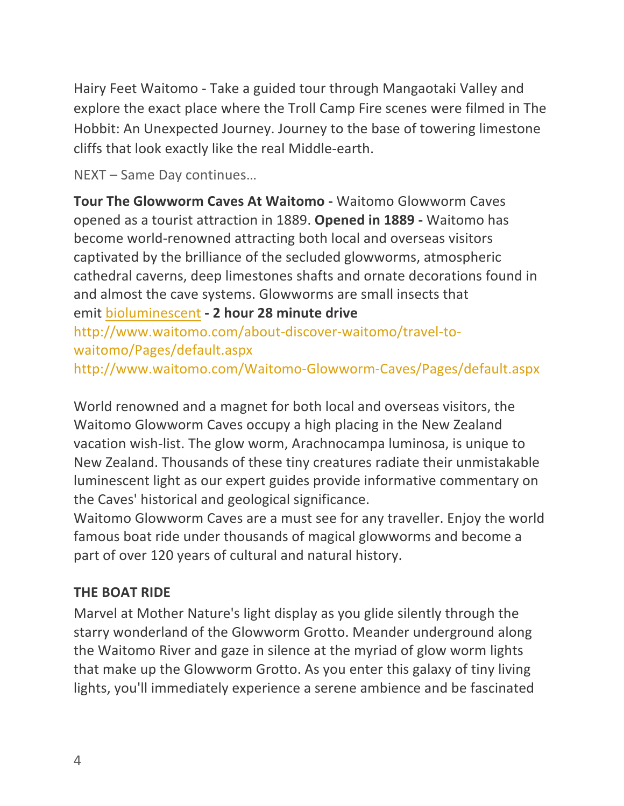Hairy Feet Waitomo - Take a guided tour through Mangaotaki Valley and explore the exact place where the Troll Camp Fire scenes were filmed in The Hobbit: An Unexpected Journey. Journey to the base of towering limestone cliffs that look exactly like the real Middle-earth.

NEXT - Same Day continues...

**Tour The Glowworm Caves At Waitomo -** Waitomo Glowworm Caves opened as a tourist attraction in 1889. Opened in 1889 - Waitomo has become world-renowned attracting both local and overseas visitors captivated by the brilliance of the secluded glowworms, atmospheric cathedral caverns, deep limestones shafts and ornate decorations found in and almost the cave systems. Glowworms are small insects that emit bioluminescent **- 2 hour 28 minute drive** 

http://www.waitomo.com/about-discover-waitomo/travel-towaitomo/Pages/default.aspx

http://www.waitomo.com/Waitomo-Glowworm-Caves/Pages/default.aspx

World renowned and a magnet for both local and overseas visitors, the Waitomo Glowworm Caves occupy a high placing in the New Zealand vacation wish-list. The glow worm, Arachnocampa luminosa, is unique to New Zealand. Thousands of these tiny creatures radiate their unmistakable luminescent light as our expert guides provide informative commentary on the Caves' historical and geological significance.

Waitomo Glowworm Caves are a must see for any traveller. Enjoy the world famous boat ride under thousands of magical glowworms and become a part of over 120 years of cultural and natural history.

# **THE BOAT RIDE**

Marvel at Mother Nature's light display as you glide silently through the starry wonderland of the Glowworm Grotto. Meander underground along the Waitomo River and gaze in silence at the myriad of glow worm lights that make up the Glowworm Grotto. As you enter this galaxy of tiny living lights, you'll immediately experience a serene ambience and be fascinated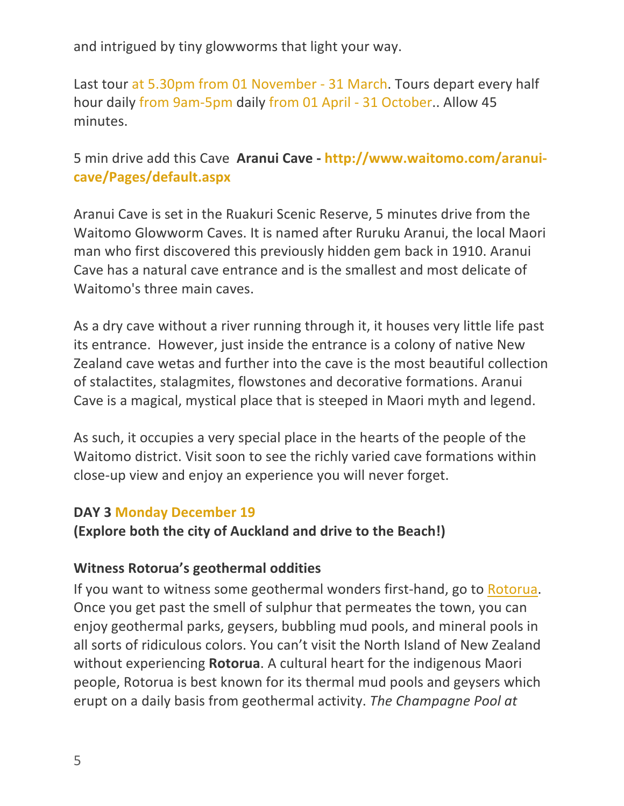and intrigued by tiny glowworms that light your way.

Last tour at 5.30pm from 01 November - 31 March. Tours depart every half hour daily from 9am-5pm daily from 01 April - 31 October.. Allow 45 minutes.

### 5 min drive add this Cave Aranui Cave - http://www.waitomo.com/aranui**cave/Pages/default.aspx**

Aranui Cave is set in the Ruakuri Scenic Reserve, 5 minutes drive from the Waitomo Glowworm Caves. It is named after Ruruku Aranui, the local Maori man who first discovered this previously hidden gem back in 1910. Aranui Cave has a natural cave entrance and is the smallest and most delicate of Waitomo's three main caves.

As a dry cave without a river running through it, it houses very little life past its entrance. However, just inside the entrance is a colony of native New Zealand cave wetas and further into the cave is the most beautiful collection of stalactites, stalagmites, flowstones and decorative formations. Aranui Cave is a magical, mystical place that is steeped in Maori myth and legend.

As such, it occupies a very special place in the hearts of the people of the Waitomo district. Visit soon to see the richly varied cave formations within close-up view and enjoy an experience you will never forget.

#### **DAY 3 Monday December 19**

**(Explore both the city of Auckland and drive to the Beach!)** 

### **Witness Rotorua's geothermal oddities**

If you want to witness some geothermal wonders first-hand, go to Rotorua. Once you get past the smell of sulphur that permeates the town, you can enjoy geothermal parks, geysers, bubbling mud pools, and mineral pools in all sorts of ridiculous colors. You can't visit the North Island of New Zealand without experiencing **Rotorua**. A cultural heart for the indigenous Maori people, Rotorua is best known for its thermal mud pools and geysers which erupt on a daily basis from geothermal activity. The Champagne Pool at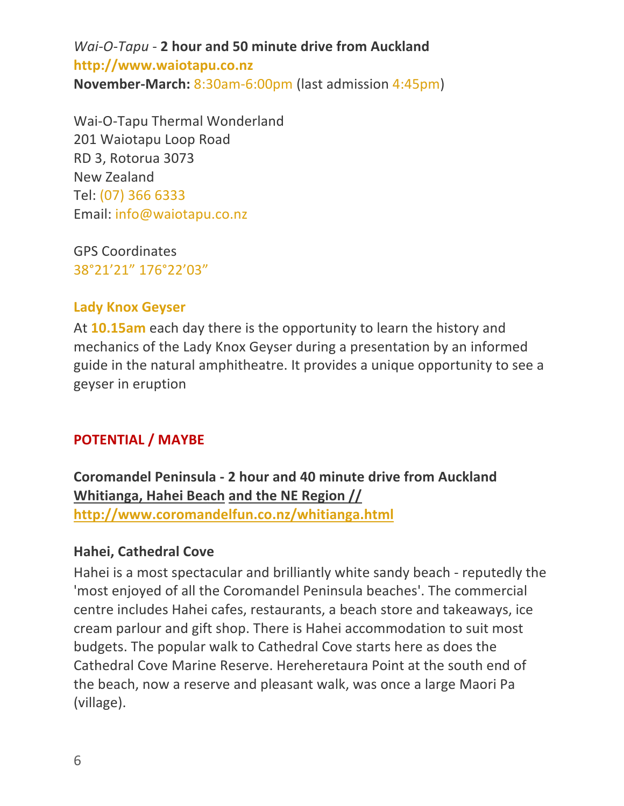*Wai-O-Tapu - 2 hour and 50 minute drive from Auckland* **http://www.waiotapu.co.nz November-March:** 8:30am-6:00pm (last admission 4:45pm)

Wai-O-Tapu Thermal Wonderland 201 Waiotapu Loop Road RD 3, Rotorua 3073 New Zealand Tel: (07) 366 6333 Email: info@waiotapu.co.nz

GPS Coordinates 38°21'21" 176°22'03"

### **Lady Knox Geyser**

At **10.15am** each day there is the opportunity to learn the history and mechanics of the Lady Knox Geyser during a presentation by an informed guide in the natural amphitheatre. It provides a unique opportunity to see a geyser in eruption

# **POTENTIAL / MAYBE**

**Coromandel Peninsula - 2 hour and 40 minute drive from Auckland Whitianga, Hahei Beach and the NE Region // http://www.coromandelfun.co.nz/whitianga.html**

#### **Hahei, Cathedral Cove**

Hahei is a most spectacular and brilliantly white sandy beach - reputedly the 'most enjoyed of all the Coromandel Peninsula beaches'. The commercial centre includes Hahei cafes, restaurants, a beach store and takeaways, ice cream parlour and gift shop. There is Hahei accommodation to suit most budgets. The popular walk to Cathedral Cove starts here as does the Cathedral Cove Marine Reserve. Hereheretaura Point at the south end of the beach, now a reserve and pleasant walk, was once a large Maori Pa (village).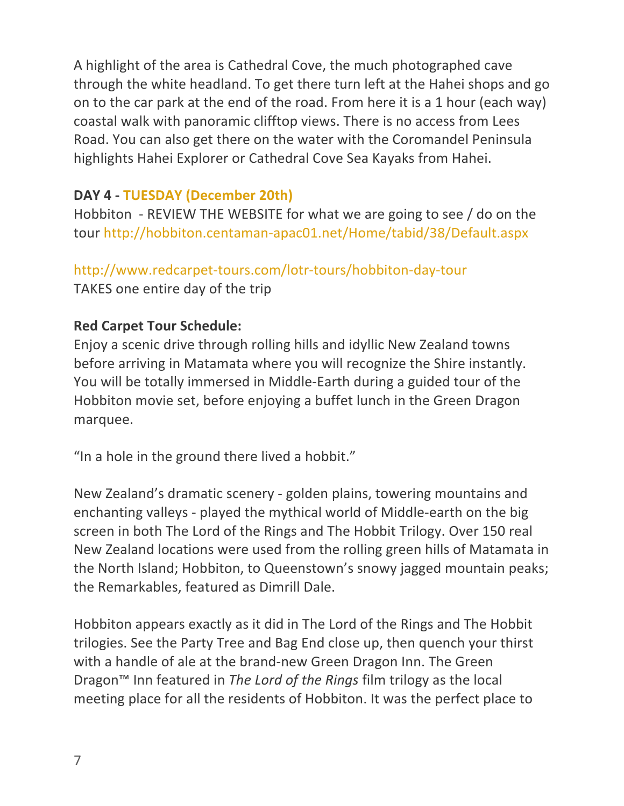A highlight of the area is Cathedral Cove, the much photographed cave through the white headland. To get there turn left at the Hahei shops and go on to the car park at the end of the road. From here it is a 1 hour (each way) coastal walk with panoramic clifftop views. There is no access from Lees Road. You can also get there on the water with the Coromandel Peninsula highlights Hahei Explorer or Cathedral Cove Sea Kayaks from Hahei.

### **DAY 4 - TUESDAY (December 20th)**

Hobbiton - REVIEW THE WEBSITE for what we are going to see / do on the tour http://hobbiton.centaman-apac01.net/Home/tabid/38/Default.aspx

### http://www.redcarpet-tours.com/lotr-tours/hobbiton-day-tour

TAKES one entire day of the trip

### **Red Carpet Tour Schedule:**

Enjoy a scenic drive through rolling hills and idyllic New Zealand towns before arriving in Matamata where you will recognize the Shire instantly. You will be totally immersed in Middle-Earth during a guided tour of the Hobbiton movie set, before enjoying a buffet lunch in the Green Dragon marquee.

"In a hole in the ground there lived a hobbit."

New Zealand's dramatic scenery - golden plains, towering mountains and enchanting valleys - played the mythical world of Middle-earth on the big screen in both The Lord of the Rings and The Hobbit Trilogy. Over 150 real New Zealand locations were used from the rolling green hills of Matamata in the North Island; Hobbiton, to Queenstown's snowy jagged mountain peaks; the Remarkables, featured as Dimrill Dale.

Hobbiton appears exactly as it did in The Lord of the Rings and The Hobbit trilogies. See the Party Tree and Bag End close up, then quench your thirst with a handle of ale at the brand-new Green Dragon Inn. The Green Dragon<sup>™</sup> Inn featured in *The Lord of the Rings* film trilogy as the local meeting place for all the residents of Hobbiton. It was the perfect place to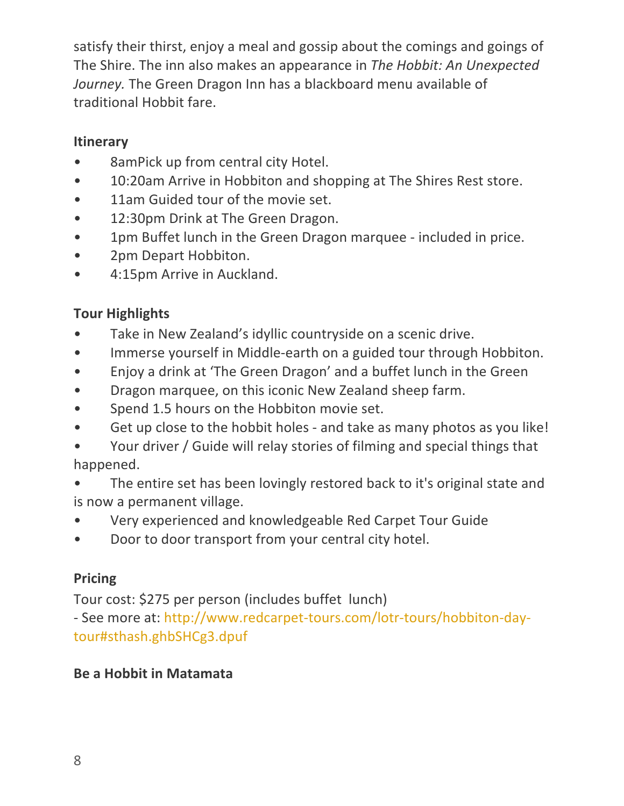satisfy their thirst, enjoy a meal and gossip about the comings and goings of The Shire. The inn also makes an appearance in *The Hobbit: An Unexpected Journey*. The Green Dragon Inn has a blackboard menu available of traditional Hobbit fare.

### **Itinerary**

- 8amPick up from central city Hotel.
- 10:20am Arrive in Hobbiton and shopping at The Shires Rest store.
- 11am Guided tour of the movie set.
- 12:30pm Drink at The Green Dragon.
- 1pm Buffet lunch in the Green Dragon marquee included in price.
- 2pm Depart Hobbiton.
- 4:15pm Arrive in Auckland.

# **Tour Highlights**

- Take in New Zealand's idyllic countryside on a scenic drive.
- Immerse yourself in Middle-earth on a guided tour through Hobbiton.
- Enjoy a drink at 'The Green Dragon' and a buffet lunch in the Green
- Dragon marquee, on this iconic New Zealand sheep farm.
- Spend 1.5 hours on the Hobbiton movie set.
- Get up close to the hobbit holes and take as many photos as you like!
- Your driver / Guide will relay stories of filming and special things that happened.
- The entire set has been lovingly restored back to it's original state and is now a permanent village.
- Very experienced and knowledgeable Red Carpet Tour Guide
- Door to door transport from your central city hotel.

# **Pricing**

Tour cost: \$275 per person (includes buffet lunch)

- See more at: http://www.redcarpet-tours.com/lotr-tours/hobbiton-daytour#sthash.ghbSHCg3.dpuf

### **Be a Hobbit in Matamata**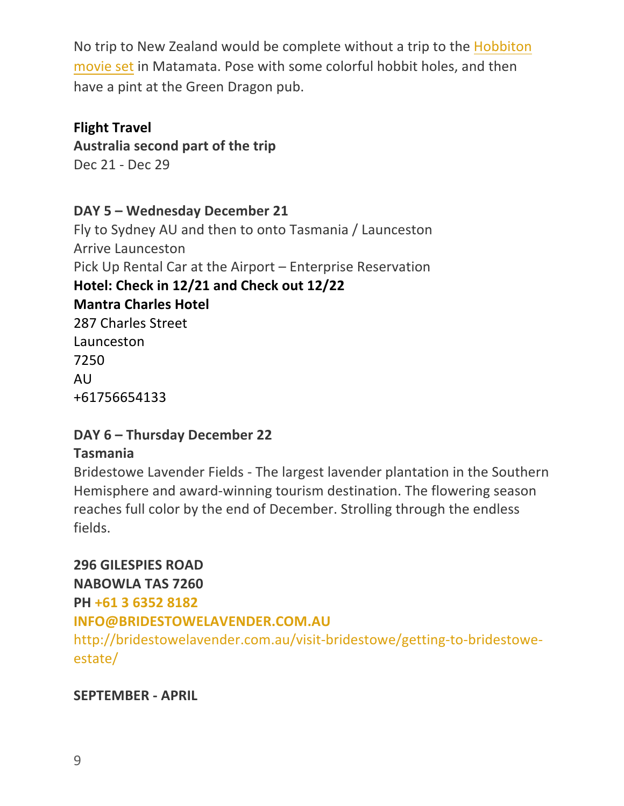No trip to New Zealand would be complete without a trip to the Hobbiton movie set in Matamata. Pose with some colorful hobbit holes, and then have a pint at the Green Dragon pub.

**Flight Travel** Australia second part of the trip Dec 21 - Dec 29

DAY 5 - Wednesday December 21

Fly to Sydney AU and then to onto Tasmania / Launceston Arrive Launceston Pick Up Rental Car at the Airport – Enterprise Reservation Hotel: Check in 12/21 and Check out 12/22 **Mantra Charles Hotel** 287 Charles Street Launceston 7250 AU +61756654133

### **DAY 6 – Thursday December 22 Tasmania**

Bridestowe Lavender Fields - The largest lavender plantation in the Southern Hemisphere and award-winning tourism destination. The flowering season reaches full color by the end of December. Strolling through the endless fields. 

### **296 GILESPIES ROAD**

**NABOWLA TAS 7260**

# **PH +61 3 6352 8182**

# **INFO@BRIDESTOWELAVENDER.COM.AU**

http://bridestowelavender.com.au/visit-bridestowe/getting-to-bridestoweestate/

### **SEPTEMBER - APRIL**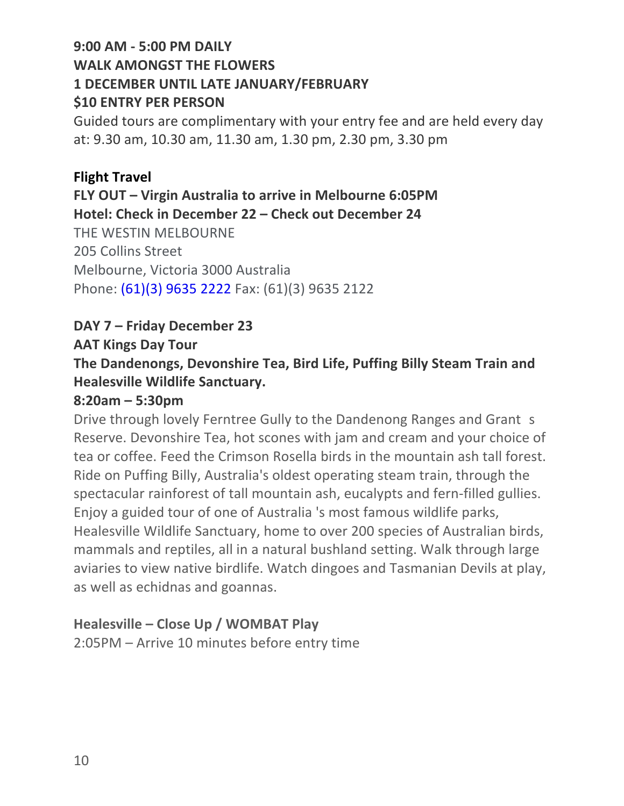# **9:00 AM - 5:00 PM DAILY** WALK AMONGST THE FLOWERS **1 DECEMBER UNTIL LATE JANUARY/FEBRUARY \$10 ENTRY PER PERSON**

Guided tours are complimentary with your entry fee and are held every day at: 9.30 am, 10.30 am, 11.30 am, 1.30 pm, 2.30 pm, 3.30 pm

# **Flight Travel FLY OUT – Virgin Australia to arrive in Melbourne 6:05PM Hotel: Check in December 22 – Check out December 24** THE WESTIN MELBOURNE 205 Collins Street Melbourne, Victoria 3000 Australia Phone: (61)(3) 9635 2222 Fax: (61)(3) 9635 2122

### **DAY 7 – Friday December 23**

#### **AAT Kings Day Tour**

# The Dandenongs, Devonshire Tea, Bird Life, Puffing Billy Steam Train and **Healesville Wildlife Sanctuary.**

#### **8:20am – 5:30pm**

Drive through lovely Ferntree Gully to the Dandenong Ranges and Grant s Reserve. Devonshire Tea, hot scones with jam and cream and your choice of tea or coffee. Feed the Crimson Rosella birds in the mountain ash tall forest. Ride on Puffing Billy, Australia's oldest operating steam train, through the spectacular rainforest of tall mountain ash, eucalypts and fern-filled gullies. Enjoy a guided tour of one of Australia 's most famous wildlife parks, Healesville Wildlife Sanctuary, home to over 200 species of Australian birds, mammals and reptiles, all in a natural bushland setting. Walk through large aviaries to view native birdlife. Watch dingoes and Tasmanian Devils at play, as well as echidnas and goannas.

### **Healesville – Close Up / WOMBAT Play**

2:05PM – Arrive 10 minutes before entry time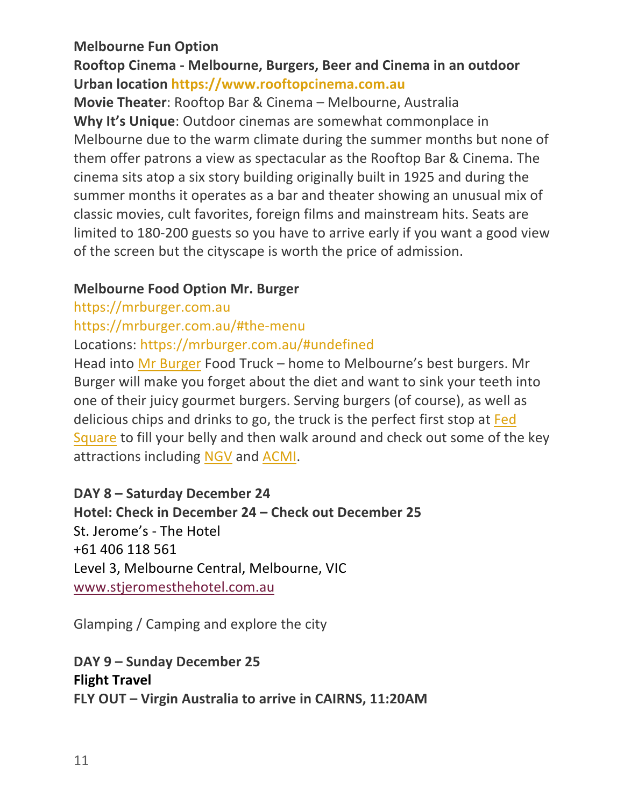#### **Melbourne Fun Option**

### Rooftop Cinema - Melbourne, Burgers, Beer and Cinema in an outdoor **Urban location https://www.rooftopcinema.com.au**

**Movie Theater:** Rooftop Bar & Cinema – Melbourne, Australia **Why It's Unique:** Outdoor cinemas are somewhat commonplace in Melbourne due to the warm climate during the summer months but none of them offer patrons a view as spectacular as the Rooftop Bar & Cinema. The cinema sits atop a six story building originally built in 1925 and during the summer months it operates as a bar and theater showing an unusual mix of classic movies, cult favorites, foreign films and mainstream hits. Seats are limited to 180-200 guests so you have to arrive early if you want a good view of the screen but the cityscape is worth the price of admission.

#### **Melbourne Food Option Mr. Burger**

https://mrburger.com.au

https://mrburger.com.au/#the-menu

Locations: https://mrburger.com.au/#undefined

Head into Mr Burger Food Truck – home to Melbourne's best burgers. Mr Burger will make you forget about the diet and want to sink your teeth into one of their juicy gourmet burgers. Serving burgers (of course), as well as delicious chips and drinks to go, the truck is the perfect first stop at Fed Square to fill your belly and then walk around and check out some of the key attractions including NGV and ACMI.

#### **DAY 8 – Saturday December 24**

**Hotel: Check in December 24 – Check out December 25** St. Jerome's - The Hotel +61 406 118 561 Level 3, Melbourne Central, Melbourne, VIC www.stjeromesthehotel.com.au

Glamping / Camping and explore the city

# **DAY 9 – Sunday December 25 Flight Travel FLY OUT – Virgin Australia to arrive in CAIRNS, 11:20AM**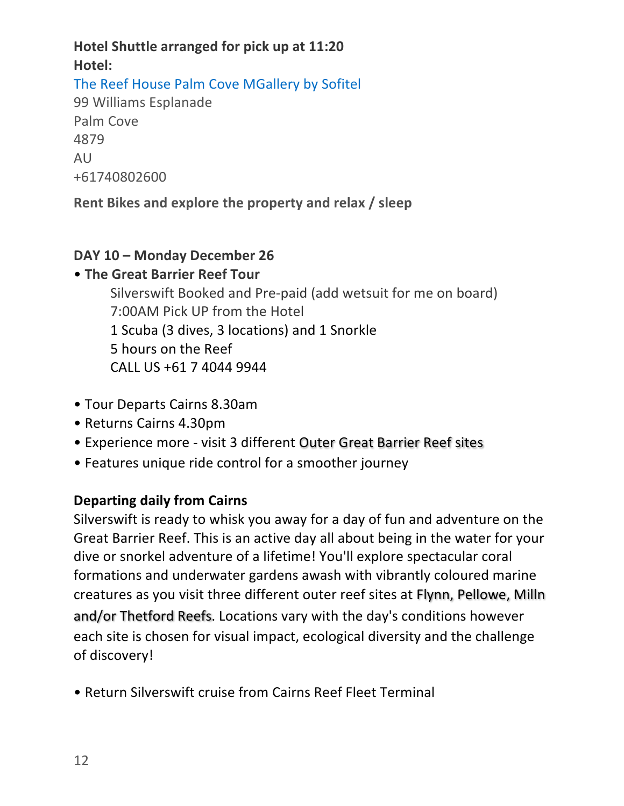# **Hotel Shuttle arranged for pick up at 11:20 Hotel:**  The Reef House Palm Cove MGallery by Sofitel 99 Williams Esplanade Palm Cove

4879 AU +61740802600

**Rent Bikes and explore the property and relax / sleep** 

### **DAY 10 – Monday December 26**

# **• The Great Barrier Reef Tour**

Silverswift Booked and Pre-paid (add wetsuit for me on board) 7:00AM Pick UP from the Hotel 1 Scuba (3 dives, 3 locations) and 1 Snorkle 5 hours on the Reef CALL US +61 7 4044 9944

- Tour Departs Cairns 8.30am
- Returns Cairns 4.30pm
- Experience more visit 3 different Outer Great Barrier Reef sites
- Features unique ride control for a smoother journey

# **Departing daily from Cairns**

Silverswift is ready to whisk you away for a day of fun and adventure on the Great Barrier Reef. This is an active day all about being in the water for your dive or snorkel adventure of a lifetime! You'll explore spectacular coral formations and underwater gardens awash with vibrantly coloured marine creatures as you visit three different outer reef sites at Flynn, Pellowe, Milln and/or Thetford Reefs. Locations vary with the day's conditions however each site is chosen for visual impact, ecological diversity and the challenge of discovery!

• Return Silverswift cruise from Cairns Reef Fleet Terminal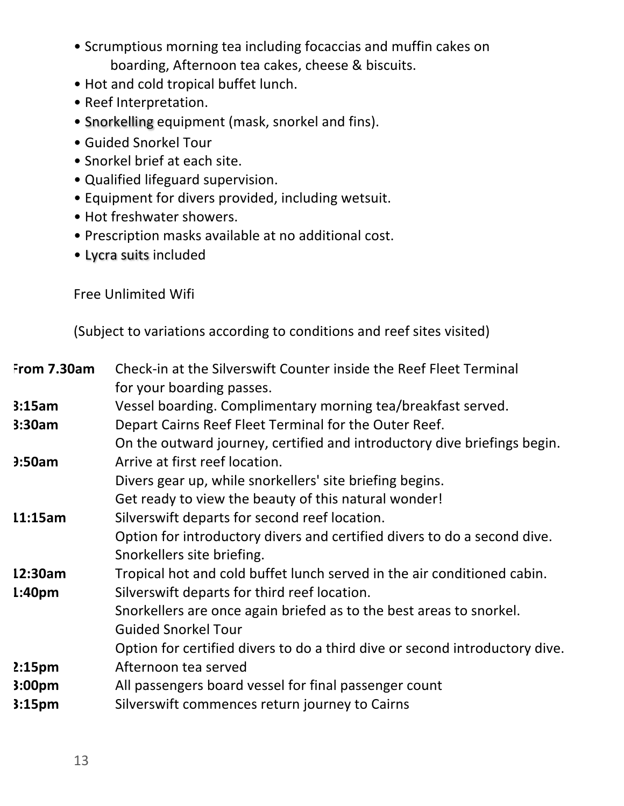- Scrumptious morning tea including focaccias and muffin cakes on boarding, Afternoon tea cakes, cheese & biscuits.
- Hot and cold tropical buffet lunch.
- Reef Interpretation.
- Snorkelling equipment (mask, snorkel and fins).
- Guided Snorkel Tour
- Snorkel brief at each site.
- Qualified lifeguard supervision.
- Equipment for divers provided, including wetsuit.
- Hot freshwater showers.
- Prescription masks available at no additional cost.
- Lycra suits included

Free Unlimited Wifi

(Subject to variations according to conditions and reef sites visited)

| From 7.30am        | Check-in at the Silverswift Counter inside the Reef Fleet Terminal<br>for your boarding passes.            |
|--------------------|------------------------------------------------------------------------------------------------------------|
| 3:15am             | Vessel boarding. Complimentary morning tea/breakfast served.                                               |
| 3:30am             | Depart Cairns Reef Fleet Terminal for the Outer Reef.                                                      |
| 3:50am             | On the outward journey, certified and introductory dive briefings begin.<br>Arrive at first reef location. |
|                    | Divers gear up, while snorkellers' site briefing begins.                                                   |
|                    | Get ready to view the beauty of this natural wonder!                                                       |
| 11:15am            | Silverswift departs for second reef location.                                                              |
|                    | Option for introductory divers and certified divers to do a second dive.                                   |
|                    | Snorkellers site briefing.                                                                                 |
| 12:30am            | Tropical hot and cold buffet lunch served in the air conditioned cabin.                                    |
| 1:40 <sub>pm</sub> | Silverswift departs for third reef location.                                                               |
|                    | Snorkellers are once again briefed as to the best areas to snorkel.                                        |
|                    | <b>Guided Snorkel Tour</b>                                                                                 |
|                    | Option for certified divers to do a third dive or second introductory dive.                                |
| 2:15 <sub>pm</sub> | Afternoon tea served                                                                                       |
| 3:00 <sub>pm</sub> | All passengers board vessel for final passenger count                                                      |
| 3:15 <sub>pm</sub> | Silverswift commences return journey to Cairns                                                             |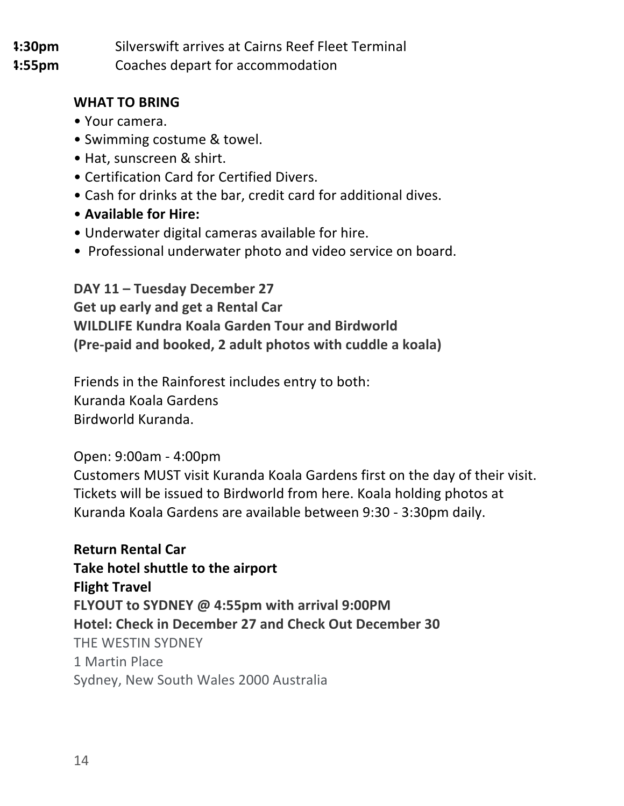**4:30pm 4:55pm** Silverswift arrives at Cairns Reef Fleet Terminal Coaches depart for accommodation

**WHAT TO BRING** 

- Your camera.
- Swimming costume & towel.
- Hat, sunscreen & shirt.
- Certification Card for Certified Divers.
- Cash for drinks at the bar, credit card for additional dives.
- **Available for Hire:**
- Underwater digital cameras available for hire.
- Professional underwater photo and video service on board.

**DAY 11 – Tuesday December 27 Get up early and get a Rental Car WILDLIFE Kundra Koala Garden Tour and Birdworld (Pre-paid and booked, 2 adult photos with cuddle a koala)** 

Friends in the Rainforest includes entry to both: Kuranda Koala Gardens Birdworld Kuranda.

### Open: 9:00am - 4:00pm

Customers MUST visit Kuranda Koala Gardens first on the day of their visit. Tickets will be issued to Birdworld from here. Koala holding photos at Kuranda Koala Gardens are available between 9:30 - 3:30pm daily.

**Return Rental Car** Take hotel shuttle to the airport **Flight Travel FLYOUT to SYDNEY @ 4:55pm with arrival 9:00PM Hotel: Check in December 27 and Check Out December 30** THE WESTIN SYDNEY 1 Martin Place Sydney, New South Wales 2000 Australia